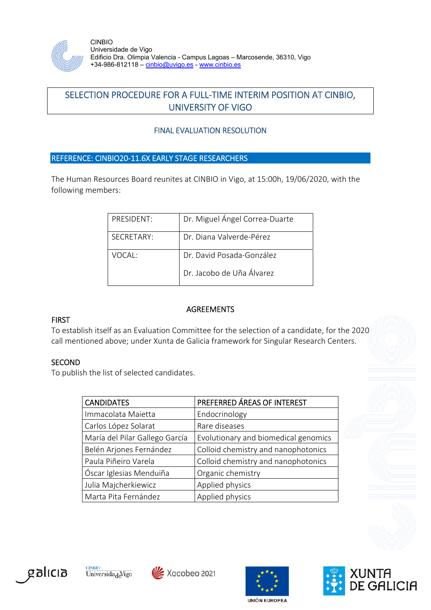

CINBIO Universidade de Vigo Edificio Dra. Olimpia Valencia - Campus Lagoas – Marcosende, 36310, Vigo +34-986-812118 – cinbio@uvigo.es - www.cinbio.es

# SELECTION PROCEDURE FOR A FULL‐TIME INTERIM POSITION AT CINBIO, UNIVERSITY OF VIGO

## FINAL EVALUATION RESOLUTION

## REFERENCE: CINBIO20‐11.6X EARLY STAGE RESEARCHERS

The Human Resources Board reunites at CINBIO in Vigo, at 15:00h, 19/06/2020, with the following members:

| PRESIDENT: | Dr. Miguel Ángel Correa-Duarte |
|------------|--------------------------------|
| SECRETARY: | Dr. Diana Valverde-Pérez       |
| VOCAL:     | Dr. David Posada-González      |
|            | Dr. Jacobo de Uña Álvarez      |

#### **AGREEMENTS**

#### FIRST

To establish itself as an Evaluation Committee for the selection of a candidate, for the 2020 call mentioned above; under Xunta de Galicia framework for Singular Research Centers.

#### **SECOND**

To publish the list of selected candidates.

| <b>CANDIDATES</b>              | PREFERRED ÁREAS OF INTEREST          |
|--------------------------------|--------------------------------------|
| Immacolata Maietta             | Endocrinology                        |
| Carlos López Solarat           | Rare diseases                        |
| María del Pilar Gallego García | Evolutionary and biomedical genomics |
| Belén Arjones Fernández        | Colloid chemistry and nanophotonics  |
| Paula Piñeiro Varela           | Colloid chemistry and nanophotonics  |
| Óscar Iglesias Menduiña        | Organic chemistry                    |
| Julia Majcherkiewicz           | Applied physics                      |
| Marta Pita Fernández           | Applied physics                      |





Xacobeo 2021